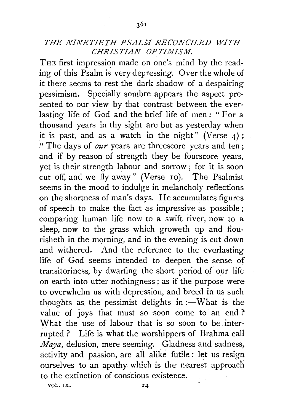## *THE NINETIETH PSALM RECONCILED WITH CHRISTIAN OPTIMISJVI.*

THE first impression made on one's mind by the reading of this Psalm is very depressing. Over the whole of it there seems to rest the dark shadow of a despairing pessimism. Specially sombre appears the aspect presented to our view by that contrast between the everlasting life of God and the brief life of men : " For a thousand years in thy sight are but as yesterday when it is past, and as a watch in the night" (Verse  $4$ ); "The days of *our* years are threescore years and ten; and if by reason of strength they be fourscore years, yet is their strength labour and sorrow ; for it is soon cut off, and we fly away" (Verse 10). The Psalmist seems in the mood to indulge in melancholy reflections on the shortness of man's days. He accumulates figures of speech to make the fact as impressive as possible ; comparing human life now to a swift river, now to a sleep, now to the grass which groweth up and flourisheth in the morning, and in the evening is cut down and withered. And the reference to the everlasting life of God seems intended to deepen the sense of transitoriness, by dwarfing the short period of our life on earth into utter nothingness ; as if the purpose were to overwhelm us with depression, and breed in us such thoughts as the pessimist delights in  $:-$ What is the value of joys that must so soon come to an end?' What the use of labour that is so soon to be interrupted ? Life is what the worshippers of Brahma call *Maya,* delusion, mere seeming. Gladness and sadness, activity and passion, are all alike futile : let us resign ourselves to an apathy which is the nearest approach to the extinction of conscious existence.

VOL. IX.

24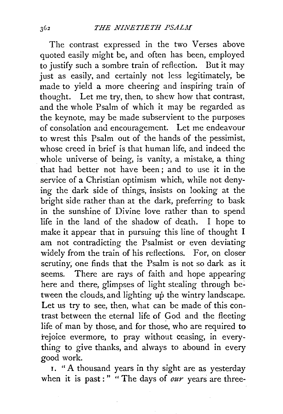The contrast expressed in the two Verses above quoted easily might be, and often has been, employed to justify such a sombre train of reflection. But it may just as easily, and certainly not less legitimately, be made to yield a more cheering and inspiring train of thought. Let me try, then, to shew how that contrast, and the whole Psalm of which it may be regarded as the keynote, may be made subservient to the purposes of consolation and encouragement. Let me endeavour to wrest this Psalm out of the hands of the pessimist, whose creed in brief is that human life, and indeed the whole universe of being, is vanity, a mistake, a thing that had better not have been; and to use it in the service of a Christian optimism which, while not denying the dark side of things, insists on looking at the bright side rather than at the dark, preferring to bask in the sunshine of Divine love rather than to spend life in the land of the shadow of death. I hope to make it appear that in pursuing this line of thought I am not contradicting the Psalmist or even deviating widely from the train of his reflections. For, on closer scrutiny; one finds that the Psalm is not so dark as it seems. There are rays of faith and hope appearing here and there, glimpses of light stealing through between the clouds, and lighting up the wintry landscape. Let us try to see, then, what can be made of this contrast between the eternal life of God and the fleeting life of man by those, and for those, who are required to rejoice evermore, to pray without ceasing, in everything to give thanks, and always to abound in every good work.

I. " A thousand years in thy sight are as yesterday when it is past:" " The days of *our* years are three-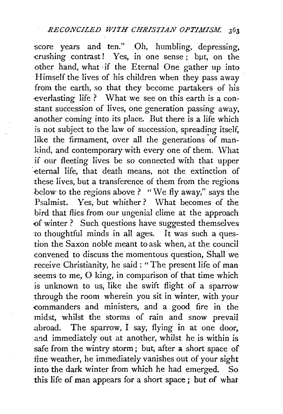score years and ten." Oh, humbling, depressing,  $crashing$  contrast! Yes, in one sense; but, on the other hand, what ·if the Eternal One gather up into Himself the lives of his children when they pass away from the earth, so that they become partakers of his ·everlasting life ? What we see on this earth is a constant succession of lives, one generation passing away, .another coming into its place. But there is a life which is not subject to the law of succession, spreading itself, like the firmament, over all the generations of mankind, and contemporary with every one of them. \Vhat if our fleeting lives be so connected with that upper eternal life, that death means, not the extinction of these lives, but a transference of them from the regions below *to* the regions above? "We fly away," says the Psalmist. Yes, but whither ? What becomes of the bird that flies from our ungenial clime at the approach -of winter? Such questions have suggested themselves to thoughtful minds in all ages. It was such a question the Saxon noble meant to ask when, at the council convened to discuss the momentous question, Shall we receive Christianity, he said : "The present life of man seems to me, 0 king, in comparison of that time which is unknown to us, like the swift flight of a sparrow through the room wherein you sit in winter, with your -commanders and ministers, and a good fire in the midst, whilst the storms of rain and snow prevail abroad. The sparrow, I say, flying in at one door, and immediately out at another, whilst he is within is safe from the wintry storm; but, after a short space of fine weather, he immediately vanishes out of your sight into the dark winter from which he had emerged. So this life of man appears for a short space ; but of what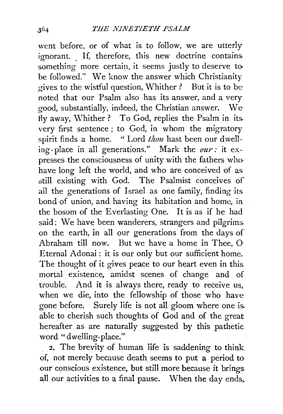went before, or of what is to follow, we are utterly ignorant. If, therefore, this new doctrine contains. something more certain, it seems justly to deserve tobe followed." We know the answer which Christianity gives to the wistful question, Whither ? But it is to be noted that our Psalm also has its answer, and a very good, substantially, indeed, the Christian answer. We fly away, Whither? To God, replies the Psalm in its. very first sentence ; to God, in whom the migratory spirit finds a home. " Lord *thou* hast been our dwelling- place in all generations." Mark the *our:* it expresses the consciousness of unity with the fathers whohave long left the world, and who are conceived of as still existing with God. The Psalmist conceives of ail the generations of Israel as one family, finding its bond of union, and having its habitation and home, in the bosom of the Everlasting One. It is as if he had said: We have been wanderers, strangers and pilgrims. on the earth, in all our generations from the days of Abraham till now. But we have a home in Thee, 0. Eternal Adonai: it is our only but our sufficient home. The thought of it gives peace to our heart even in this mortal existence, amidst scenes of change and of trouble. And it is always there, ready to receive us, when we die, into the fellowship of those who have gone before. Surely life is not all gloom where one is. able to cherish such thoughts of God and of the great hereafter as are naturally suggested by this pathetic word " dwelling-place."

2. The brevity of human life is saddening to think of, not merely because death seems to put a period to· our conscious existence, but still more because it brings. all our activities to a final pause. When the day ends,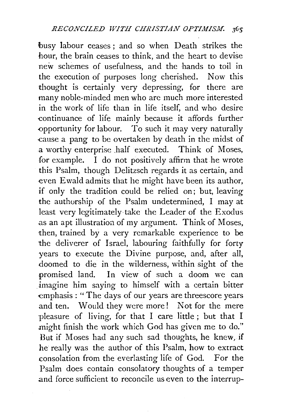busy labour ceases; and so when Death strikes the hour, the brain ceases to think, and the heart to devise new schemes of usefulness, and the hands to toil in the execution of purposes long cherished. Now this thought is certainly very depressing, for there are many noble-minded men who are much more interested in the work of life than in life itself, and who desire continuance of life mainly because it affords further -opportunity for labour. To such it may very naturally -cause a pang to be overtaken by death in the midst of a worthy enterprise half executed. Think of Moses, for example. I do not positively affirm that he wrote this Psalm, though Delitzsch regards it as certain, and -even Ewald admits that he might have been its author, if only the tradition could be relied on; but, leaving the authorship of the Psalm undetermined, I may at least very legitimately take the Leader of the Exodus .as an apt illustration of my argument. Think of Moses, then, trained by a very remarkable experience to be the deliverer of Israel, labouring faithfully for forty years to execute the Divine purpose, and, after all, .doomed to die in the wilderness, within sight of the promised land. In view of such a doom we can imagine him saying to himself with a certain bitter emphasis: "The days of our years are threescore years and ten. Would they were more! Not for the mere ·pleasure of living, for that I care little ; but that I might finish the work which God has given me to do." But if Moses had any such sad thoughts, he knew, if he really was the author of this Psalm, how to extract consolation from the everlasting life of God. For the Psalm does contain consolatory thoughts of a temper .and force sufficient to reconcile us even to the interrup-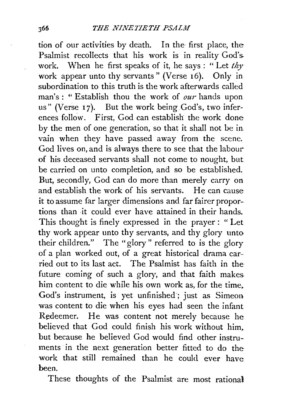tion of our activities by death. In the· first place, the Psalmist recollects that his work is in reality God's. work. When he first speaks of it, he says: "Let *thy*  work appear unto thy servants " (Verse 16). Only in subordination to this truth is the work afterwards called man's: "Establish thou the work of *our* hands upon us" (Verse 17). But the work being God's, two inferences follow. First, God can establish the work done by the men of one generation, so that it shall not be in vain when they have passed away from the scene. God lives on, and is always there to see that the labour of his deceased servants shall not come to nought, but be carried on unto completion, and so be established. But, secondly, God can do more than merely carry on and establish the work of his servants. He can cause it to assume far larger dimensions and far fairer proportions than it could ever have attained in their hands. This thought is finely expressed in the prayer: "Let thy work appear unto thy servants, and thy glory unto their children." The "glory" referred to is the glory of a plan worked out, of a great historical drama carried out to its last act. The Psalmist has faith in the future coming of such a glory, and that faith makes. him content to die while his own work as, for the time. God's instrument, is yet unfinished ; just as Simeon was content to die when his eyes had seen the infant Redeemer. He was content not merely because he believed that God could finish his work without him, but because he believed God would find other instruments in the next generation better fitted to do the work that still remained than he could ever have been.

These thoughts of the Psalmist are most rational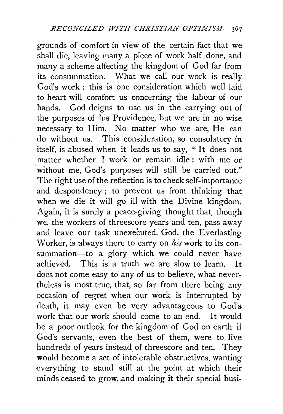grounds of comfort in view of the certain fact that we shall die, leaving many a piece of work half done, and many a scheme affecting the kingdom of God far from its consummation. What we call our work is really God's work : this is one consideration which well laid to heart will comfort us concerning the labour of our hands. God deigns to use us in the carrying out of the purposes of his Providence, but we are in no wise necessary to Him. No matter who we are, He can do without us. This consideration, so consolatory in itself, is abused when it leads us to say, " It does not matter whether I work or remain idle : with me or without me, God's purposes will still be carried out." The right use of the reflection is to check self-importance and despondency ; to prevent us from thinking that when we die it will go ill with the Divine kingdom. Again, it is surely a peace-giving thought that, though we, the workers of threescore years and ten, pass away and leave our task unexecuted, God, the Everlasting Worker, is always there to carry on *his* work to its consummation-to a glory which we could never have achieved. This is a truth we are slow to learn. It does not come easy to any of us to believe, what nevertheless is most true, that, so far from there being any occasion of regret when our work is interrupted by death, it may even be very advantageous to God's work that our work should come to an end. It would be a poor outlook for the kingdom of God on earth if God's servants, even the best of them, were to live hundreds of years instead of threescore and ten. They would become a set of intolerable obstructives, wanting everything to stand still at the point at which their minds ceased to grow, and making it their special busi-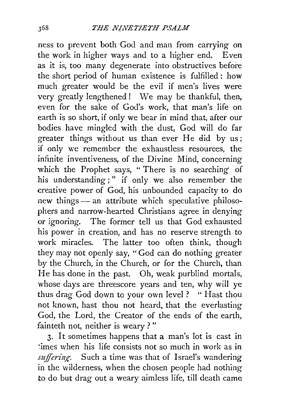ness to prevent both -God and man from carrying on the work in higher ways. and to a higher end. Even as it is, too many degenerate into obstructives before the short period of human existence is fulfilled : how much greater would be the evil if men's lives were very greatly lengthened! We may be thankful, then, even for the sake of God's work, that man's life on earth is so short, if only we bear in mind that, after our bodies have mingled with the dust, God will do far greater things without us than ever He did by us; if only we remember the exhaustless resources, the infinite inventiveness, of the Divine Mind, concerning which the Prophet says, "There is no searching of his understanding;" if only we also remember the creative power of God, his unbounded capacity to do new things - an attribute which speculative philosophers and narrow-hearted Christians agree in denying or ignoring. The former tell us that God exhausted his power in creation, and has no reserve strength to work miracles. The latter too often think, though they may not openly say, "God can do nothing greater by the Church, in the Church, or for the Church, than He has done in the past. Oh, weak purblind mortals, whose days are threescore years and ten, why will ye thus drag God down to your own level ? " Hast thou not known, hast thou not heard, that the everlasting God, the Lord, the Creator of the ends of the earth, fainteth not, neither is weary ? "

3. It sometimes happens that a man's lot is cast in imes when his life consists not so much in work as in suffering. Such a time was that of Israel's wandering in the wilderness, when the chosen people had nothing to do but drag out a weary aimless life, till death came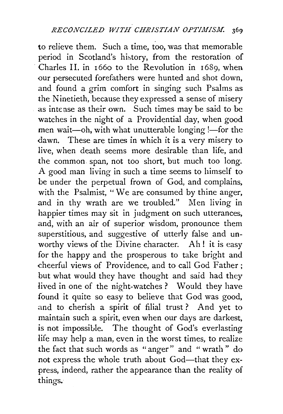to relieve them. Such a time, too, was that memorable period in Scotland's history, from the restoration of Charles II. in 1660 to the Revolution in 1689, when our persecuted forefathers were hunted and shot down, and found a grim comfort in singing such Psalms as the Ninetieth, because they expressed a sense of misery as intense as their own. Such times may be said to be watches in the night of a Providential day, when good men wait-oh, with what unutterable longing !- for the dawn. These are times in which it is a very misery to live, when death seems more desirable than life, and the common span, not too short, but much too long. A good man living in such a time seems to himself to be under the perpetual frown of God, and complains, with the Psalmist, " We are consumed by thine anger, and in thy wrath are we troubled." Men living in happier times may sit in judgment on such utterances, and, with an air of superior wisdom, pronounce them superstitious, and suggestive of utterly false and unworthy views of the Divine character. Ah! it is easy for the happy and the prosperous to take bright and cheerful views of Providence, and to call God Father; but what would they have thought and said had they lived in one of the night-watches? Would they have found it quite so easy to believe that God was good, and to cherish a spirit of filial trust ? And yet to maintain such a spirit, even when our days are darkest, is not impossible. The thought of God's everlasting life may help a man, even in the worst times, to realize the fact that such words as " anger" and " wrath " do not express the whole truth about God-that they express, indeed, rather the appearance than the reality of things.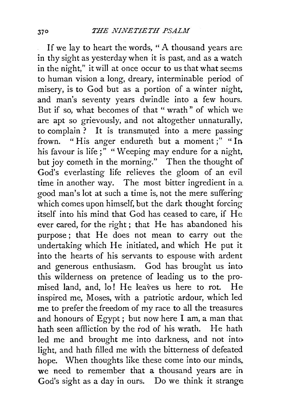If we lay to heart the words, " A thousand years are in thy sight as yesterday when it is past, and as a watch in the night," it will at once occur to us that what seems to human vision a long, dreary, interminable period of misery, is to God but as a portion of a winter night. and man's seventy years dwindle into a few hours. But if so, what becomes of that " wrath" of which we are apt so grievously, and not altogether unnaturally, to complain? It is transmuted into a mere passing frown. "His anger endureth but a moment;" "In his favour is life;<sup>"</sup> "Weeping may endure for a night, but joy cometh in the morning." Then the thought of God's everlasting life relieves the gloom of an evil time in another way. The most bitter ingredient in a good man's lot at such a time is, not the mere suffering which comes upon himself, but the dark thought forcing itself into his mind that God has ceased to care, if He ever cared, for the right; that He has abandoned his purpose; that He does not mean to carry out the undertaking which He initiated, and which He put it into the hearts of his servants to espouse with ardent and generous enthusiasm. God has brought us into this wilderness on pretence of leading us to the promised land, and, lo! He leaves us here to rot. He inspired me, Moses, with a patriotic ardour, which led me to prefer the freedom of my race to all the treasures and honours of Egypt ; but now here I am, a man that bath seen affliction by the rod of his wrath. He bath led me and brought me into darkness, and not into light, and hath filled me with the bitterness of defeated hope. When thoughts like these come into our minds, we need to remember that a thousand years are in God's sight as a day in ours. Do we think it strange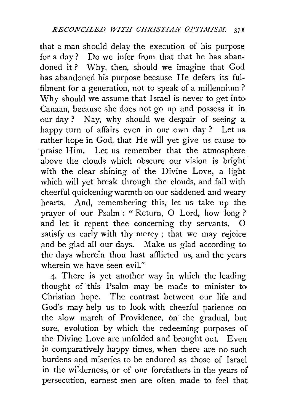that a man should delay the execution of his purpose for a day? Do we infer from that that he has abandoned it? Why, then, should we imagine that God has abandoned his purpose because He defers its fulfilment for a generation, not to speak of a millennium? Why should we assume that Israel is never to get into Canaan, because she does not go up and possess it in our day ? Nay, why should we despair of seeing a happy turn of affairs even in our own day ? Let us rather hope in God, that He will yet give us cause to praise Him. Let us remember that the atmosphere above the clouds which obscure our vision is bright with the clear shining of the Divine Love, a light which will yet break through the clouds, and fall with cheerful quickening warmth on our saddened and weary hearts. And, remembering this, let us take up the prayer of our Psalm : " Return, 0 Lord, how long ? and let it repent thee concerning thy servants.  $O$ satisfy us early with thy mercy ; that we may rejoice and be glad all our days. Make us glad according to the days wherein thou hast afflicted us, and the years wherein we have seen evil."

4· There is yet another way in which the leading thought of this Psalm may be made to minister to Christian hope. The contrast between our life and God's may help us to look with cheerful patience on the slow march of Providence, on the gradual, but sure, evolution by which the redeeming purposes of the Divine Love are unfolded and brought out. Even in comparatively happy times, when there are no such burdens and miseries to be endured as those of Israel in the wilderness, or of our forefathers in the years of persecution, earnest men are often made to feel that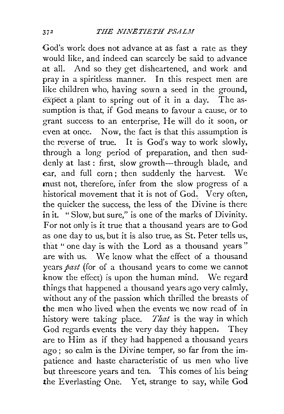God's work does not advance at as fast a rate as they would like, and indeed can scarcely be said to advance at all. And so they get disheartened, and work and pray in a spiritless manner. In this respect men are like children who, having sown a seed in the ground,  $\overline{\text{expect}}$  a plant to spring out of it in a day. The assumption is that, if God means to favour a cause, or to grant success to an enterprise, He will do it soon, or even at once. Now, the fact is that this assumption is the reyerse of true. It is God's way to work slowly, through a long period of preparation, and then suddenly at last : first, slow growth-through blade, and ear, and full corn; then suddenly the harvest. We must not, therefore, infer from the slow progress of a historical movement that it is not of God. Very often, the quicker the success, the less of the Divine is there in it. "Slow, but sure," is one of the marks of Divinity. For not only is it true that a thousand years are to God as one day to us, but it is also true, as St. Peter tells us, that "one day is with the Lord as a thousand vears" are with us. We know what the effect of a thousand years *past* (for of a thousand years to come we cannot know the effect) is upon the human mind. We regard things that happened a thousand years ago very calmly, without any of the passion which thrilled the breasts of the men who lived when the events we now read of in history were taking place. *That* is the way in which God regards events the very day they happen. They are to Him as if they had happened a thousand years ago; so calm is the Divine temper, so far from the impatience and haste characteristic of us men who live but threescore years and ten. This comes of his being the Everlasting One. Yet, strange to say, while God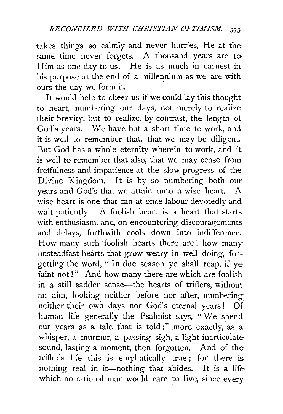takes things so calmly and never hurries, He at the same time never forgets. A thousand years are to Him as one day to us. He is as much in earnest in his purpose at the end of a millennium as we are with ours the day we form it.

It would help to cheer us if we could lay this thought to heart, numbering our days, not merely to realize their brevity, but to realize, by contrast, the length of God's years. We have but a short time to work, and it is well to remember that, that we may be diligent. But God has a whole eternity wherein to work, and it is well to remember that also, that we may cease from fretfulness and impatience at the slow progress of the Divine Kingdom. It is by so numbering both our years and God's that we attain unto a wise heart. A wise heart is one that can at once labour devotedly and wait patiently. A foolish heart is a heart that starts. with enthusiasm, and, on encountering discouragements. and delays, forthwith cools down into indifference. How many such foolish hearts there are ! how many unsteadfast hearts that grow weary in well doing, forgetting the word, " In due season ·ye shall reap, if ye faint not!" And how many there are which are foolish in a still sadder sense—the hearts of triflers, without an aim, looking neither before nor after, numbering neither their own days nor God's eternal years! Of human life generally the Psalmist says, "We spend our years as a tale that is told;" more exactly, as a whisper, a murmur, a passing sigh, a light inarticulate sound, lasting a moment, then forgotten. And of the trifler's life this is emphatically true ; for there is. nothing real in it-nothing that abides. It is a lifewhich no rational man would care to live, since every